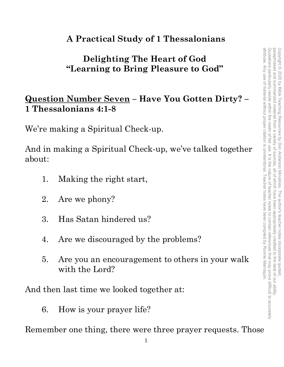# **A Practical Study of 1 Thessalonians**

# **Delighting The Heart of God "Learning to Bring Pleasure to God"**

### **Question Number Seven – Have You Gotten Dirty? – 1 Thessalonians 4:1-8**

We're making a Spiritual Check-up.

And in making a Spiritual Check-up, we've talked together about:

- 1. Making the right start,
- 2. Are we phony?
- 3. Has Satan hindered us?
- 4. Are we discouraged by the problems?
- 5. Are you an encouragement to others in your walk with the Lord?

And then last time we looked together at:

6. How is your prayer life?

Remember one thing, there were three prayer requests. Those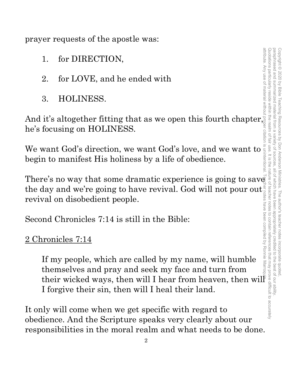prayer requests of the apostle was:

- 1. for DIRECTION,
- 2. for LOVE, and he ended with
- 3. HOLINESS.

And it's altogether fitting that as we open this fourth chapter, he's focusing on HOLINESS.

We want God's direction, we want God's love, and we want to begin to manifest His holiness by a life of obedience.

the day and we're going to have revival. God will not pour out revival on disobedient people.

Second Chronicles 7:14 is still in the Bible:

# 2 Chronicles 7:14

Therefore is no way that someonly in the Bible:<br>
Therefore is the solution of the subsection of the solution of the solution of the solution of HOLINESS.<br>
We want God's direction, we want God's love, and we want to save b If my people, which are called by my name, will humble themselves and pray and seek my face and turn from their wicked ways, then will I hear from heaven, then will I forgive their sin, then will I heal their land.

It only will come when we get specific with regard to obedience. And the Scripture speaks very clearly about our responsibilities in the moral realm and what needs to be done.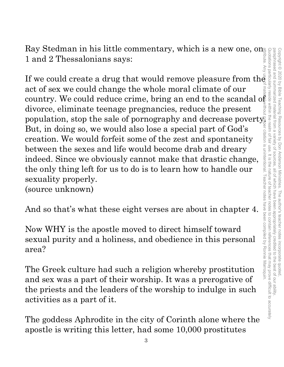Ray Stedman in his little commentary, which is a new one, on 1 and 2 Thessalonians says:

If we could create a drug that would remove pleasure from the act of sex we could change the whole moral climate of our country. We could reduce crime, bring an end to the scandal o $\mathrm{f}_\varepsilon$ divorce, eliminate teenage pregnancies, reduce the present population, stop the sale of pornography and decrease poverty. But, in doing so, we would also lose a special part of God's creation. We would forfeit some of the zest and spontaneity between the sexes and life would become drab and dreary indeed. Since we obviously cannot make that drastic change, the only thing left for us to do is to learn how to handle our sexuality properly. (source unknown) attribute. Any use of material without proper citation is unintentional. Teacher notes have been compiled by Ronnie Marroquin.

And so that's what these eight verses are about in chapter 4.

Now WHY is the apostle moved to direct himself toward sexual purity and a holiness, and obedience in this personal area?

The Greek culture had such a religion whereby prostitution and sex was a part of their worship. It was a prerogative of the priests and the leaders of the worship to indulge in such activities as a part of it.

The goddess Aphrodite in the city of Corinth alone where the apostle is writing this letter, had some 10,000 prostitutes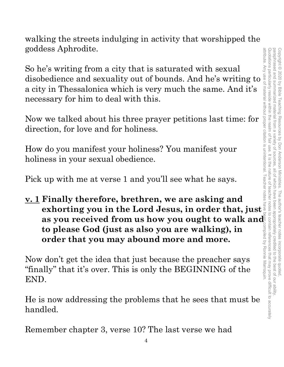walking the streets indulging in activity that worshipped the goddess Aphrodite.

So he's writing from a city that is saturated with sexual Bo he's writing from a city that is saturated with sexual<br>disobedience and sexuality out of bounds. And he's writing to<br>a city in Thessalonica which is very much the same. And it's<br>necessary for him to deal with this.<br>Now a city in Thessalonica which is very much the same. And it's necessary for him to deal with this.

Now we talked about his three prayer petitions last time: for direction, for love and for holiness.

How do you manifest your holiness? You manifest your holiness in your sexual obedience.

Pick up with me at verse 1 and you'll see what he says.

**v. 1 Finally therefore, brethren, we are asking and exhorting you in the Lord Jesus, in order that, just as you received from us how you ought to walk and to please God (just as also you are walking), in**<br> **order that you may abound more and more.**<br>
This is only the BEGINNING of the and the preacher says ally" that it's over **to please God (just as also you are walking), in order that you may abound more and more.**

Now don't get the idea that just because the preacher says "finally" that it's over. This is only the BEGINNING of the END.

He is now addressing the problems that he sees that must be handled.

Remember chapter 3, verse 10? The last verse we had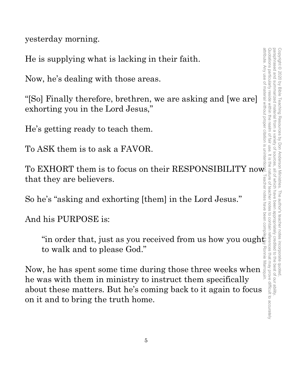yesterday morning.

He is supplying what is lacking in their faith.

Now, he's dealing with those areas.

"[So] Finally therefore, brethren, we are asking and [we are] exhorting you in the Lord Jesus,"

He's getting ready to teach them.

To ASK them is to ask a FAVOR.

To EXHORT them is to focus on their RESPONSIBILITY now that they are believers. EXHORT them is to tocus on their RESPONSIBILITY now<br>  $\begin{array}{c}\n\text{if they are believes.}\n\text{if they are believes.}\n\end{array}$ <br>
they are believers.<br>  $\begin{array}{c}\n\text{if they are believes.}\n\end{array}$ <br>  $\begin{array}{c}\n\text{if they are believed from us how you ought}\n\end{array}$ 

So he's "asking and exhorting [them] in the Lord Jesus."

And his PURPOSE is:

to walk and to please God." Ronne

Now, he has spent some time during those three weeks when he was with them in ministry to instruct them specifically about these matters. But he's coming back to it again to focus on it and to bring the truth home.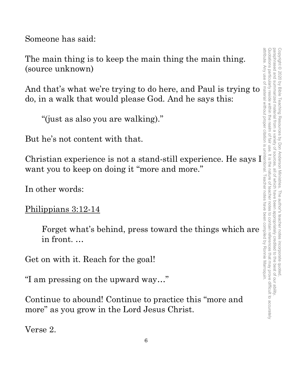Quotations particularly reside within the realm of fair use. It is the nature of teacher notes to contain references that may prove difficult to accurately paraphrased and summarized material from a attribute. Any use of material without proper citation is unintentional. Teacher notes have been compiled by Ronnie Marroquin.Quotations particularly reside within the realm of fair use. It is the nature of teacher notes to contain references that may prove difficult to accurately paraphrased and summarized material from a variety of sources, all of which have been appropriately credited to the best of our ability. Copyright © 2020 by Bible Teaching Resources by Don Anderson Ministries. The author's teacher notes incorporate quoted Copyright © 2020 by Bible Teaching Resources by Don Anderson Ministries. The author's teacher notes incorporate quoted, variety of sources all of which have been appropriately credited to the best of our ability

Someone has said:

The main thing is to keep the main thing the main thing. (source unknown)

do, in a walk that would please God. And he says this:

"(just as also you are walking)."

But he's not content with that.

The main thing is to keep the main thing the main thing.<br>
(source unknown)<br>
And that's what we're trying to do here, and Paul is trying to<br>
do, in a walk that would please God. And he says this:<br>
"(just as also you are wa Christian experience is not a stand-still experience. He says I want you to keep on doing it "more and more."

In other words:

### Philippians 3:12-14

Forget what's behind, press toward the things which are in front. …

Get on with it. Reach for the goal!

"I am pressing on the upward way…"

Continue to abound! Continue to practice this "more and more" as you grow in the Lord Jesus Christ.

Verse 2.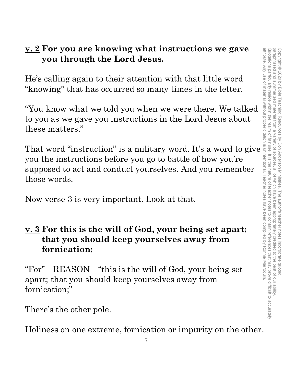# **v. 2 For you are knowing what instructions we gave you through the Lord Jesus.**

He's calling again to their attention with that little word "knowing" that has occurred so many times in the letter.

"You know what we told you when we were there. We talked to you as we gave you instructions in the Lord Jesus about these matters."

 $\frac{\mathbf{v} \cdot \mathbf{z}}{2}$  for you are knowing what instructions we gave<br>  $\frac{\mathbf{v} \cdot \mathbf{z}}{2}$  for you through the Lord Jesus.<br>
He's calling again to their attention with that little word<br>
"knowing" that has occurred so many you the instructions before you go to battle of how you're supposed to act and conduct yourselves. And you remember those words.

Now verse 3 is very important. Look at that.

# **v. 3 For this is the will of God, your being set apart; that you should keep yourselves away from fornication;**

"For"—REASON—"this is the will of God, your being set apart; that you should keep yourselves away from fornication;"

There's the other pole.

Holiness on one extreme, fornication or impurity on the other.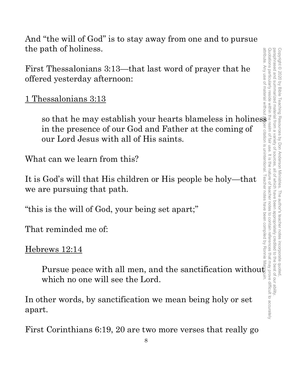And "the will of God" is to stay away from one and to pursue the path of holiness.

First Thessalonians 3:13—that last word of prayer that he offered yesterday afternoon:

1 Thessalonians 3:13

so that he may establish your hearts blameless in holiness in the presence of our God and Father at the coming of our Lord Jesus with all of His saints.

What can we learn from this?

It is God's will that His children or His people be holy—that we are pursuing that path.

"this is the will of God, your being set apart;"

That reminded me of:

Hebrews 12:14

Pursue peace with all men, and the sanctification without which no one will see the Lord.

In other words, by sanctification we mean being holy or set apart.

First Corinthians 6:19, 20 are two more verses that really go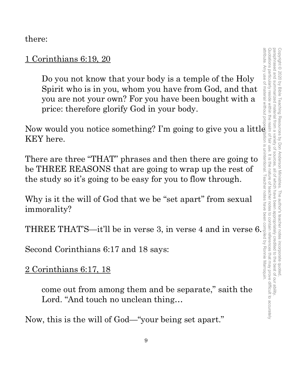there:

### 1 Corinthians 6:19, 20

Do you not know that your body is a temple of the Holy Spirit who is in you, whom you have from God, and that you are not your own? For you have been bought with a price: therefore glorify God in your body.

Now would you notice something? I'm going to give you a little KEY here. attribute. Any use of material without proper citation is unintentional. Teacher notes have been compiled by Ronnie Marroquin.

There are three "THAT" phrases and then there are going to be THREE REASONS that are going to wrap up the rest of the study so it's going to be easy for you to flow through.

Why is it the will of God that we be "set apart" from sexual immorality?

THREE THAT'S—it'll be in verse 3, in verse 4 and in verse 6.

Second Corinthians 6:17 and 18 says:

2 Corinthians 6:17, 18

come out from among them and be separate," saith the Lord. "And touch no unclean thing…

Now, this is the will of God—"your being set apart."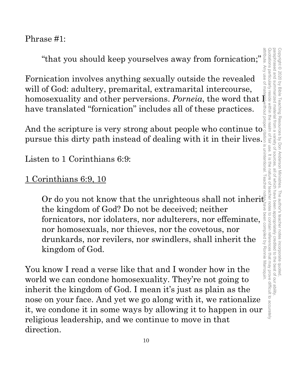Quotations particularly reside within the realm of fair use. It is the nature of teacher notes to contain references that may prove difficult to accurately paraphrased and summarized material from a variety of sources paraphrased and summarized material from a variety of sources, all of which have been appropriately credited to the best of our ability. Copyright © 2020 by Bible Teaching Resources by Don Anderson Ministries. The author's teacher notes incorporate quoted Copyright © 2020 by Bible Teaching Resources by Don Anderson Ministries. The author's teacher notes incorporate quoted, all of which have been appropriately credited to the best of our ability

### Phrase #1:

"that you should keep yourselves away from fornication;"

Fornication involves anything sexually outside the revealed will of God: adultery, premarital, extramarital intercourse, homosexuality and other perversions.  $Porneia$ , the word that  $\frac{E}{\epsilon}$ have translated "fornication" includes all of these practices.

And the scripture is very strong about people who continue to  $\frac{a}{2}$ pursue this dirty path instead of dealing with it in their lives.

Listen to 1 Corinthians 6:9:

### 1 Corinthians 6:9, 10

Or do you not know that the unrighteous shall not inherit the kingdom of God? Do not be deceived; neither fornicators, nor idolaters, nor adulterers, nor effeminate, nor homosexuals, nor thieves, nor the covetous, nor drunkards, nor revilers, nor swindlers, shall inherit the kingdom of God. attribute. Any use of material without proper citation is unintentional. Teacher notes have been compiled by Ronnie Marroquin.

You know I read a verse like that and I wonder how in the world we can condone homosexuality. They're not going to inherit the kingdom of God. I mean it's just as plain as the nose on your face. And yet we go along with it, we rationalize it, we condone it in some ways by allowing it to happen in our religious leadership, and we continue to move in that direction.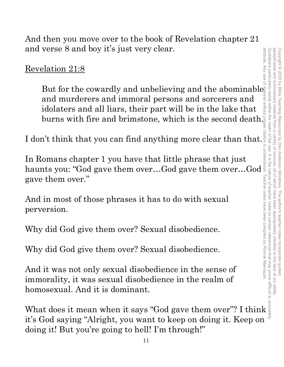And then you move over to the book of Revelation chapter 21 and verse 8 and boy it's just very clear.

Revelation 21:8

But for the cowardly and unbelieving and the abominable and murderers and immoral persons and sorcerers and idolaters and all liars, their part will be in the lake that burns with fire and brimstone, which is the second death.

I don't think that you can find anything more clear than that.

In Romans chapter 1 you have that little phrase that just haunts you: "God gave them over…God gave them over…God gave them over."

And in most of those phrases it has to do with sexual perversion.

Why did God give them over? Sexual disobedience.

Why did God give them over? Sexual disobedience.

And it was not only sexual disobedience in the sense of immorality, it was sexual disobedience in the realm of homosexual. And it is dominant.

What does it mean when it says "God gave them over"? I think it's God saying "Alright, you want to keep on doing it. Keep on doing it! But you're going to hell! I'm through!"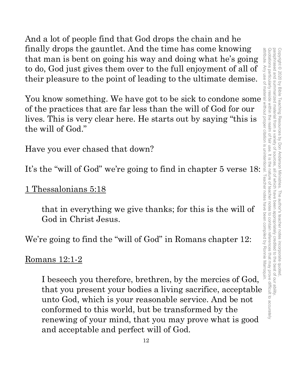And a lot of people find that God drops the chain and he finally drops the gauntlet. And the time has come knowing that man is bent on going his way and doing what he's going to do, God just gives them over to the full enjoyment of all of their pleasure to the point of leading to the ultimate demise.

The solution of the time in the time way and doing what he's going<br>to do, God just gives them over to the full enjoyment of all of  $\xi$ <br>their pleasure to the point of leading to the ultimate demise.<br>You know something. We of the practices that are far less than the will of God for our lives. This is very clear here. He starts out by saying "this is the will of God."

Have you ever chased that down?

It's the "will of God" we're going to find in chapter 5 verse 18:

1 Thessalonians 5:18

that in everything we give thanks; for this is the will of God in Christ Jesus.

We're going to find the "will of God" in Romans chapter 12:

Romans 12:1-2

I beseech you therefore, brethren, by the mercies of God, that you present your bodies a living sacrifice, acceptable unto God, which is your reasonable service. And be not conformed to this world, but be transformed by the renewing of your mind, that you may prove what is good and acceptable and perfect will of God.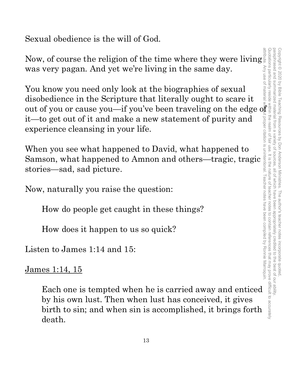Sexual obedience is the will of God.

Now, of course the religion of the time where they were living was very pagan. And yet we're living in the same day.

You know you need only look at the biographies of sexual disobedience in the Scripture that literally ought to scare it out of you or cause you—if you've been traveling on the edge of it—to get out of it and make a new statement of purity and experience cleansing in your life.

When you see what happened to David, what happened to Samson, what happened to Amnon and others—tragic, tragic stories—sad, sad picture.

Now, naturally you raise the question:

How do people get caught in these things?

How does it happen to us so quick?

Listen to James 1:14 and 15:

James 1:14, 15

Each one is tempted when he is carried away and enticed by his own lust. Then when lust has conceived, it gives birth to sin; and when sin is accomplished, it brings forth death.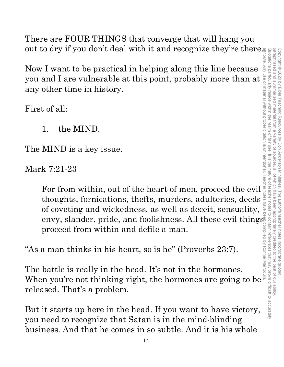Quotations particularly reside within the realm of fair use. It is the nature of teacher notes to contain references that may prove difficult to accurately paraphrased and summarized material from a attribute. Any use of material without proper citation is unintentional. Teacher notes have been compiled by Ronnie Marroquin.Quotations particularly reside within the realm of fair use. It is the nature of teacher notes to contain references that may prove difficult to accurately paraphrased and summarized material from a variety of sources, all of which have been appropriately credited to the best of our ability. Copyright © 2020 by Bible Teaching Resources Copyright © 2020 by Bible Teaching Resources by Don Anderson Ministries. The author's teacher notes incorporate quoted, variety of by Don Anderson Ministries. The author's teacher notes incorporate quotec sources all of which have been appropriately credited to the best of our ability

There are FOUR THINGS that converge that will hang you out to dry if you don't deal with it and recognize they're there.

Now I want to be practical in helping along this line because you and I are vulnerable at this point, probably more than at any other time in history.

First of all:

1. the MIND.

The MIND is a key issue.

Mark 7:21-23

For from within, out of the heart of men, proceed the evil thoughts, fornications, thefts, murders, adulteries, deeds of coveting and wickedness, as well as deceit, sensuality, envy, slander, pride, and foolishness. All these evil things proceed from within and defile a man.

"As a man thinks in his heart, so is he" (Proverbs 23:7).

The battle is really in the head. It's not in the hormones. proceed from within and defile a man.<br>
"As a man thinks in his heart, so is he" (Proverbs 23:7).<br>
The battle is really in the head. It's not in the hormones.<br>
When you're not thinking right, the hormones are going to be released. That's a problem.

But it starts up here in the head. If you want to have victory, you need to recognize that Satan is in the mind-blinding business. And that he comes in so subtle. And it is his whole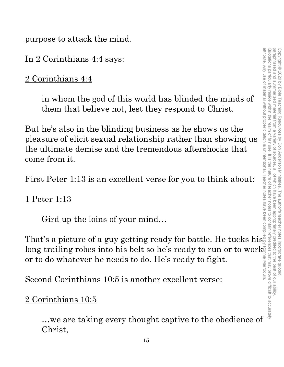purpose to attack the mind.

In 2 Corinthians 4:4 says:

2 Corinthians 4:4

in whom the god of this world has blinded the minds of them that believe not, lest they respond to Christ.

But he's also in the blinding business as he shows us the pleasure of elicit sexual relationship rather than showing us the ultimate demise and the tremendous aftershocks that come from it.

First Peter 1:13 is an excellent verse for you to think about:

1 Peter 1:13

Gird up the loins of your mind…

That's a picture of a guy getting ready for battle. He tucks his  $\operatorname{long}$  trailing robes into his belt so he's ready to run or to work $\frac{1}{2}$ long trailing robes into his belt so he's ready to run or to work<sup>3</sup> or to do whatever he needs to do. He's ready to fight.<br>Second Corinthians 10:5 is another excellent verse:

Second Corinthians 10:5 is another excellent verse:

### 2 Corinthians 10:5

…we are taking every thought captive to the obedience of Christ,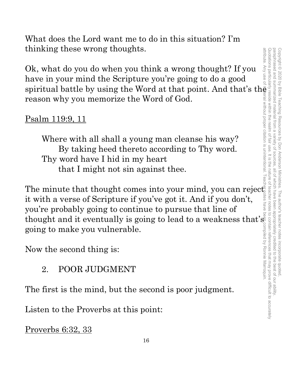What does the Lord want me to do in this situation? I'm thinking these wrong thoughts.

Ok, what do you do when you think a wrong thought? If you have in your mind the Scripture you're going to do a good spiritual battle by using the Word at that point. And that's the reason why you memorize the Word of God.

# Psalm 119:9, 11

Where with all shall a young man cleanse his way? By taking heed thereto according to Thy word. Thy word have I hid in my heart that I might not sin against thee.

The minute that thought comes into your mind, you can reject. it with a verse of Scripture if you've got it. And if you don't, you're probably going to continue to pursue that line of thought and it eventually is going to lead to a weakness that's going to make you vulnerable.

Now the second thing is:

2. POOR JUDGMENT

The first is the mind, but the second is poor judgment.

Listen to the Proverbs at this point:

Proverbs 6:32, 33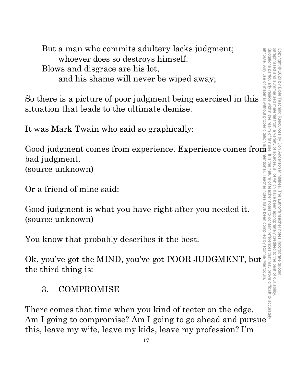But a man who commits adultery lacks judgment; whoever does so destroys himself. Blows and disgrace are his lot, and his shame will never be wiped away;

So there is a picture of poor judgment being exercised in this situation that leads to the ultimate demise.

It was Mark Twain who said so graphically:

Good judgment comes from experience. Experience comes from bad judgment. (source unknown) Good judgment comes from experience. Experience comes from<br>
bad judgment.<br>
(source unknown)<br>
Or a friend of mine said:<br>  $\begin{bmatrix}\n\text{Good judgment is what you have right after you needed it.}\n\text{Good judgment is what you have right after you needed it.}\n\text{Solve unknown}\n\end{bmatrix}\n\begin{bmatrix}\n\text{Solve} \\
\text{Solve} \\
\text{Solve} \\
\text{Solve} \\
\text{Solve} \\
\text$ 

Or a friend of mine said:

Good judgment is what you have right after you needed it. (source unknown)

You know that probably describes it the best.

bad judgment.<br>
(source unknown)<br>
Or a friend of mine said:<br>
Good judgment is what you have right after you needed it.<br>
(source unknown)<br>
You know that probably describes it the best.<br>
Ok, you've got the MIND, you've got PO the third thing is:

# 3. COMPROMISE

There comes that time when you kind of teeter on the edge. this, leave my wife, leave my kids, leave my profession? I'm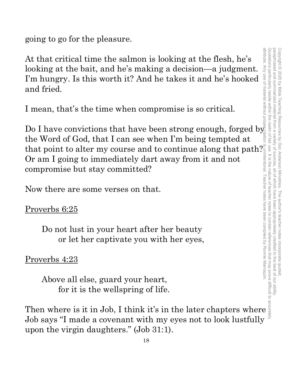going to go for the pleasure.

At that critical time the salmon is looking at the flesh, he's looking at the bait, and he's making a decision—a judgment. I'm hungry. Is this worth it? And he takes it and he's hooked and fried.

I mean, that's the time when compromise is so critical.

Do I have convictions that have been strong enough, forged by the Word of God, that I can see when I'm being tempted at that point to alter my course and to continue along that path? Or am I going to immediately dart away from it and not compromise but stay committed? At that critical time the salmon is looking at the flesh, he's<br>
looking at the bait, and he's making a decision—a judgment.<br>
I'm hungry. Is this worth it? And he takes it and he's hooked<br>
and fried.<br>
I mean, that's the ti

Now there are some verses on that.

### Proverbs 6:25

Do not lust in your heart after her beauty or let her captivate you with her eyes,

# Proverbs 4:23

Above all else, guard your heart, for it is the wellspring of life.

Job says "I made a covenant with my eyes not to look lustfully upon the virgin daughters." (Job 31:1).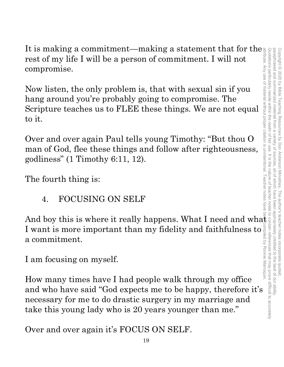It is making a commitment—making a statement that for the rest of my life I will be a person of commitment. I will not compromise.

Now listen, the only problem is, that with sexual sin if you hang around you're probably going to compromise. The Scripture teaches us to FLEE these things. We are not equal to it.

Over and over again Paul tells young Timothy: "But thou O man of God, flee these things and follow after righteousness, godliness" (1 Timothy 6:11, 12).

The fourth thing is:

4. FOCUSING ON SELF

I want is more important than my fidelity and faithfulness to a commitment. attribute. Any use of material without proper citation is unintentional. Teacher notes have been compiled by Ronnie Marroquin.

I am focusing on myself.

And boy this is where it really happens. What I need and what<br>
I want is more important than my fidelity and faithfulness to  $\frac{3}{2}$ <br>
a commitment.<br>
I am focusing on myself.<br>
How many times have I had people walk throug How many times have I had people walk through my office and who have said "God expects me to be happy, therefore it's necessary for me to do drastic surgery in my marriage and take this young lady who is 20 years younger than me."

Over and over again it's FOCUS ON SELF.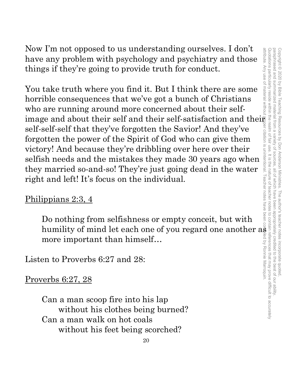Now I'm not opposed to us understanding ourselves. I don't have any problem with psychology and psychiatry and those things if they're going to provide truth for conduct.

You take truth where you find it. But I think there are some horrible consequences that we've got a bunch of Christians who are running around more concerned about their selfimage and about their self and their self-satisfaction and their self-self-self that they've forgotten the Savior! And they've forgotten the power of the Spirit of God who can give them victory! And because they're dribbling over here over their selfish needs and the mistakes they made 30 years ago when they married so-and-so! They're just going dead in the water right and left! It's focus on the individual.

### Philippians 2:3, 4

Do nothing from selfishness or empty conceit, but with humility of mind let each one of you regard one another  $a\ddot{\tilde{s}}$  : more important than himself…

Listen to Proverbs 6:27 and 28:

Proverbs 6:27, 28

Can a man scoop fire into his lap without his clothes being burned? Can a man walk on hot coals without his feet being scorched?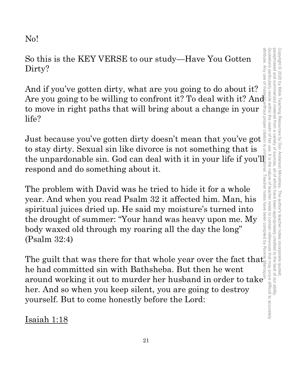No!

So this is the KEY VERSE to our study—Have You Gotten Dirty? So this is the KEY VERSE to our study—Have You Gotten<br>Dirty?<br>And if you've gotten dirty, what are you going to do about it?<br>Are you going to be willing to confront it? To deal with it? And

And if you've gotten dirty, what are you going to do about it? to move in right paths that will bring about a change in your life? to move in right paths that will bring about a change in your  $\frac{1}{2}$ <br>life?<br>Just because you've gotten dirty doesn't mean that you've got

to stay dirty. Sexual sin like divorce is not something that is the unpardonable sin. God can deal with it in your life if you'l respond and do something about it.

The problem with David was he tried to hide it for a whole year. And when you read Psalm 32 it affected him. Man, his spiritual juices dried up. He said my moisture's turned into the drought of summer: "Your hand was heavy upon me. My body waxed old through my roaring all the day the long" (Psalm 32:4)

The guilt that was there for that whole year over the fact that he had committed sin with Bathsheba. But then he went around working it out to murder her husband in order to take $^{\text{\tiny{\textup{F}}}}$ her. And so when you keep silent, you are going to destroy yourself. But to come honestly before the Lord:

Isaiah 1:18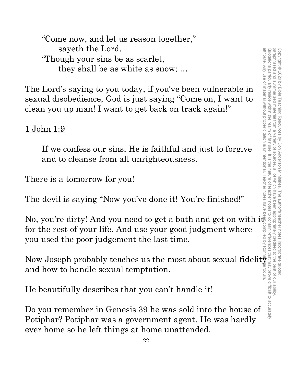Quotation sparticularity reside with the realm of fair use. It is the nature of teacher notes paraphrased and summarized material from a attribute. Any use of material without proper citation is unintentional. Teacher notes have been compiled by Ronnie Marroquin.Quotations particularly reside within the realm of fair use. It is the nature of teacher notes to contain references that may prove difficult to accurately paraphrased and summarized material from a variety of sources, all of which have been appropriately credited to the best of our ability. Copyright © 2020 by Bible Teaching Resources by Don Anderson Ministries. The author's teacher notes incorporate quoted Copyright © 2020 by Bible Teaching Resources by Don Anderson Ministries. The author's teacher notes incorporate quoted, sources all of Which have beer appropriately credited to the best of our ability

"Come now, and let us reason together," sayeth the Lord. "Though your sins be as scarlet, they shall be as white as snow; …

The Lord's saying to you today, if you've been vulnerable in sexual disobedience, God is just saying "Come on, I want to clean you up man! I want to get back on track again!"

# <u>1 John 1:9</u>

If we confess our sins, He is faithful and just to forgive and to cleanse from all unrighteousness.

There is a tomorrow for you!

The devil is saying "Now you've done it! You're finished!"

No, you're dirty! And you need to get a bath and get on with it for the rest of your life. And use your good judgment where you used the poor judgement the last time.

Now Joseph probably teaches us the most about sexual fidelity and how to handle sexual temptation.

He beautifully describes that you can't handle it!

Do you remember in Genesis 39 he was sold into the house of Potiphar? Potiphar was a government agent. He was hardly ever home so he left things at home unattended.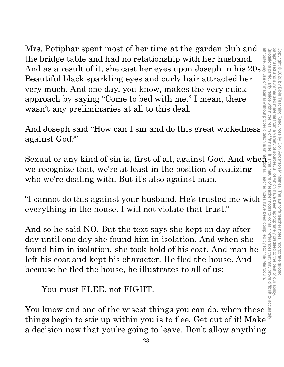Mrs. Potiphar spent most of her time at the garden club and the bridge table and had no relationship with her husband. And as a result of it, she cast her eyes upon Joseph in his 20s. $\tilde{\varepsilon}$ Beautiful black sparkling eyes and curly hair attracted her very much. And one day, you know, makes the very quick approach by saying "Come to bed with me." I mean, there wasn't any preliminaries at all to this deal. We recognize spent most of her time at the graren culo and<br>we help table and had no relationship with her husband.<br>And as a result of it, she cast her eyes upon Joseph in his 20s.<br>Beautiful black sparkling eyes and curly

And Joseph said "How can I sin and do this great wickedness against God?"

Sexual or any kind of sin is, first of all, against God. And when we recognize that, we're at least in the position of realizing who we're dealing with. But it's also against man. attribute. Any use of material without proper citation is unintentional. Teacher notes have been compiled by Ronnie Marroquin.

everything in the house. I will not violate that trust."

we recognize that, we're at least in the position of realizing<br>who we're dealing with. But it's also against man.<br>"I cannot do this against your husband. He's trusted me with<br>everything in the house. I will not violate th And so he said NO. But the text says she kept on day after day until one day she found him in isolation. And when she found him in isolation, she took hold of his coat. And man he left his coat and kept his character. He fled the house. And because he fled the house, he illustrates to all of us:

You must FLEE, not FIGHT.

things begin to stir up within you is to flee. Get out of it! Make a decision now that you're going to leave. Don't allow anything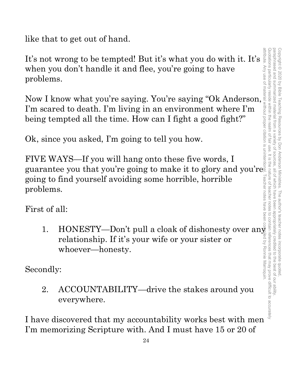like that to get out of hand.

It's not wrong to be tempted! But it's what you do with it. It's when you don't handle it and flee, you're going to have problems.

Now I know what you're saying. You're saying "Ok Anderson, I'm scared to death. I'm living in an environment where I'm being tempted all the time. How can I fight a good fight?"

Ok, since you asked, I'm going to tell you how.

FIVE WAYS—If you will hang onto these five words, I guarantee you that you're going to make it to glory and you're going to find yourself avoiding some horrible, horrible problems. 2. ACCOUNTABILITY—drive the stakes around you<br>
1. How what you're saying. You're saying "Ok Anderson.<br>
1. How what you're saying. You're saying "Ok Anderson.<br>
1. How what you're saying. You're saying "Ok Anderson.<br>
2. The

First of all:

led by Ronnie Marroquin relationship. If it's your wife or your sister or whoever—honesty.

Secondly:

2. ACCOUNTABILITY—drive the stakes around you everywhere.

I have discovered that my accountability works best with men I'm memorizing Scripture with. And I must have 15 or 20 of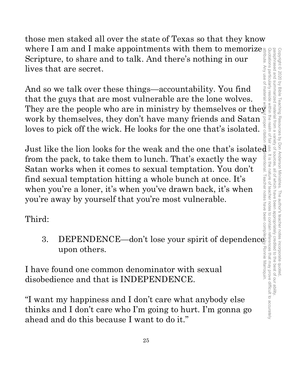those men staked all over the state of Texas so that they know where I am and I make appointments with them to memorize Scripture, to share and to talk. And there's nothing in our lives that are secret.

And so we talk over these things—accountability. You find that the guys that are most vulnerable are the lone wolves. They are the people who are in ministry by themselves or the  $\bar{\bar{\mathbf{y}}}$ work by themselves, they don't have many friends and Satan loves to pick off the wick. He looks for the one that's isolated.

For a mand I make appointments with them to memorize<br>the three is a share and to talk. And there's nothing in our<br>that are secret.<br>So we talk over these things—accountability. You find<br>the guys that are most vulnerable ar Just like the lion looks for the weak and the one that's isolated ntentional. from the pack, to take them to lunch. That's exactly the way Satan works when it comes to sexual temptation. You don't find sexual temptation hitting a whole bunch at once. It's when you're a loner, it's when you've drawn back, it's when you're away by yourself that you're most vulnerable.

Third:

upon others.

I have found one common denominator with sexual disobedience and that is INDEPENDENCE.

"I want my happiness and I don't care what anybody else thinks and I don't care who I'm going to hurt. I'm gonna go ahead and do this because I want to do it."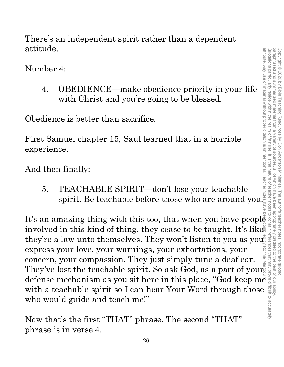There's an independent spirit rather than a dependent attitude.

Number 4:

4. OBEDIENCE—make obedience priority in your life with Christ and you're going to be blessed. 4:<br>
OBEDIENCE—make obedience priority in your life<br>
with Christ and you're going to be blessed.<br>
ce is better than sacrifice.<br>
muel chapter 15, Saul learned that in a horrible<br>
ce.<br>
1 finally:<br>
TEACHABLE SPIRIT—don't lose

Obedience is better than sacrifice.

First Samuel chapter 15, Saul learned that in a horrible experience. It<br>
It is an amazing thing with this too, that when you have people<br>
involved in the state of thing with this too, that when you have people<br>
involved in this too, that when you have people<br>
involved in this too, that when

And then finally:

5. TEACHABLE SPIRIT—don't lose your teachable

involved in this kind of thing, they cease to be taught. It's like they're a law unto themselves. They won't listen to you as you express your love, your warnings, your exhortations, your concern, your compassion. They just simply tune a deaf ear. They've lost the teachable spirit. So ask God, as a part of your concern, your compassion. They just simply tune a dear ear.<br>They've lost the teachable spirit. So ask God, as a part of your defense mechanism as you sit here in this place, "God keep me with a teachable spirit so I can hear Your Word through those who would guide and teach me!" attribute. Any use of material without proper citation is unintentional. Teacher notes have been compiled by Ronnie Marroquin.

Now that's the first "THAT" phrase. The second "THAT" phrase is in verse 4.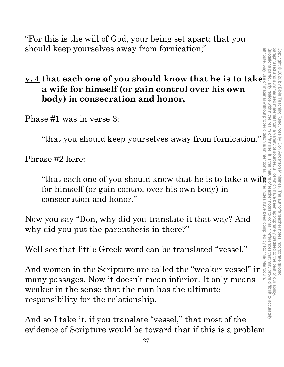"For this is the will of God, your being set apart; that you should keep yourselves away from fornication;" attribute. Any use of material without proper citation is unintentional. Teacher notes have been compiled by Ronnie Marroquin.

# **v. 4 that each one of you should know that he is to take a wife for himself (or gain control over his own body) in consecration and honor,**

Phase #1 was in verse 3:

"that you should keep yourselves away from fornication."

Phrase #2 here:

"that each one of you should know that he is to take a wife  $\rangle$ for himself (or gain control over his own body) in consecration and honor."

Now you say "Don, why did you translate it that way? And why did you put the parenthesis in there?"

Well see that little Greek word can be translated "vessel."

And women in the Scripture are called the "weaker vessel" in  $\frac{1}{3}$ <br>many pagagaga. Now it doesn't mean inferior. It only means many passages. Now it doesn't mean inferior. It only means weaker in the sense that the man has the ultimate responsibility for the relationship.

And so I take it, if you translate "vessel," that most of the evidence of Scripture would be toward that if this is a problem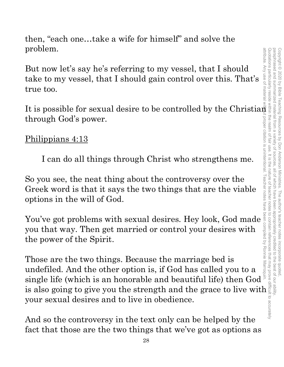then, "each one…take a wife for himself" and solve the problem.

But now let's say he's referring to my vessel, that I should take to my vessel, that I should gain control over this. That's true too.

It is possible for sexual desire to be controlled by the Christian through God's power.<br>
Philippians 4:13 through God's power.

### Philippians 4:13

I can do all things through Christ who strengthens me.

So you see, the neat thing about the controversy over the Greek word is that it says the two things that are the viable options in the will of God.

So you see, the neat thing about the controversy over the<br>
Greek word is that it says the two things that are the viable<br>
options in the will of God.<br>
You've got problems with sexual desires. Hey look, God made<br>
you that you that way. Then get married or control your desires with the power of the Spirit.

Those are the two things. Because the marriage bed is undefiled. And the other option is, if God has called you to a single life (which is an honorable and beautiful life) then God I can do all things through Christ who strengthens me.<br>
So you see, the neat thing about the controversy over the<br>
Greek word is that it says the two things that are the viable<br>
options in the will of God.<br>
You've got pro your sexual desires and to live in obedience.

And so the controversy in the text only can be helped by the fact that those are the two things that we've got as options as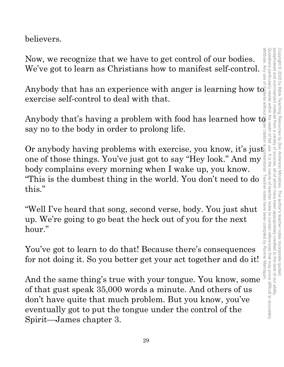believers.

Now, we recognize that we have to get control of our bodies. We've got to learn as Christians how to manifest self-control.

Anybody that has an experience with anger is learning how to exercise self-control to deal with that.

Anybody that's having a problem with food has learned how to say no to the body in order to prolong life.

Or anybody having problems with exercise, you know, it's just one of those things. You've just got to say "Hey look." And my  $\frac{1}{2}$  body complains every morning when I wake up, you know. body complains every morning when I wake up, you know. this."

"This is the dumbest thing in the world. You don't need to do  $\frac{1}{8}$ <br>this."<br>"Well I've heard that song, second verse, body. You just shut<br>up. We're going to go beat the heck out of you for the next<br>hour."<br>You've got to "Well I've heard that song, second verse, body. You just shut up. We're going to go beat the heck out of you for the next hour."

You've got to learn to do that! Because there's consequences for not doing it. So you better get your act together and do it!

And the same thing's true with your tongue. You know, some of that gust speak 35,000 words a minute. And others of us don't have quite that much problem. But you know, you've eventually got to put the tongue under the control of the Spirit—James chapter 3.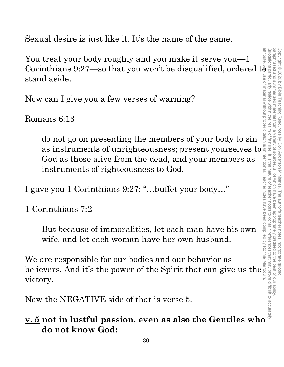attribute. Any use of material without proper citation is unintentional. Teacher notes have been compiled by Ronnie Marroquin.Quotations particularly reside within the realm of fair use. It is the nature of teacher notes to contain references that may prove difficult to accurately paraphrased and summarized paraphrased and summarized material from a variety of sources, all of which have been appropriately credited to the best of our ability. Copyright © 2020 by Bible Teaching Resources Copyright © 2020 by Bible Teaching Resources by Don Anderson Ministries. The author's teacher notes incorporate quoted, material by Don Anderson Ministries. all of Which have I he author's teacher notes incorporate quoted to the best of our ability

Sexual desire is just like it. It's the name of the game.

You treat your body roughly and you make it serve you—1 You treat your body roughly and you make it serve you—1<br>Corinthians 9:27—so that you won't be disqualified, ordered to  $\frac{1}{6}$  and stand aside.<br>Now can I give you a few verses of warning?<br>Romans 6:13 stand aside.

Now can I give you a few verses of warning?

Romans 6:13

do not go on presenting the members of your body to sin d aside.<br>
<br>
can I give you a few verses of warning?<br>
<br>
ans 6:13<br>
do not go on presenting the members of your body to sin<br>
as instruments of unrighteousness; present yourselves to<br>
God as those alive from the dead, and your God as those alive from the dead, and your members as instruments of righteousness to God. do not go on presenting the members of your body to sin and<br>as instruments of unrighteousness; present yourselves to  $\frac{1}{2}$ <br>instruments of righteousness to God.<br>I gave you 1 Corinthians 9:27: "...buffet your body..."<br>1

I gave you 1 Corinthians 9:27: "…buffet your body…"

### 1 Corinthians 7:2

But because of immoralities, let each man have his own wife, and let each woman have her own husband.

We are responsible for our bodies and our behavior as believers. And it's the power of the Spirit that can give us the victory.

Now the NEGATIVE side of that is verse 5.

# **do not know God;**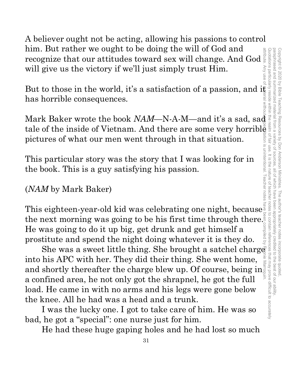A believer ought not be acting, allowing his passions to control him. But rather we ought to be doing the will of God and recognize that our attitudes toward sex will change. And God will give us the victory if we'll just simply trust Him.

But to those in the world, it's a satisfaction of a passion, and it has horrible consequences.

mm. But rather we ought to be doing the will of God and<br>recognize that our attitudes toward sex will change. And God will give us the victory if we'll just simply trust Him.<br>But to those in the world, it's a satisfaction tale of the inside of Vietnam. And there are some very horrible pictures of what our men went through in that situation.

This particular story was the story that I was looking for in the book. This is a guy satisfying his passion.

(*NAM* by Mark Baker)

This eighteen-year-old kid was celebrating one night, because the next morning was going to be his first time through there. He was going to do it up big, get drunk and get himself a prostitute and spend the night doing whatever it is they do. attribute. Any use of material without proper citation is unintentional. Teacher notes have been compiled by Ronnie Marroquin.

s eighteen-year-old kid was celebrating one night, because next morning was going to be his first time through there.<sup>3</sup><br>mext morning was going to be his first time through there.<sup>3</sup><br>mass a sweet little thing. She brought into his APC with her. They did their thing. She went home, and shortly thereafter the charge blew up. Of course, being in<br>a confined area being be not only get the shrepped begat the full a confined area, he not only got the shrapnel, he got the full load. He came in with no arms and his legs were gone below the knee. All he had was a head and a trunk.

I was the lucky one. I got to take care of him. He was so bad, he got a "special": one nurse just for him.

He had these huge gaping holes and he had lost so much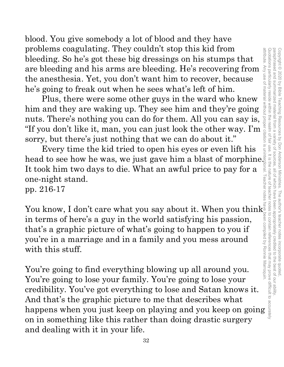blood. You give somebody a lot of blood and they have problems coagulating. They couldn't stop this kid from bleeding. So he's got these big dressings on his stumps that are bleeding and his arms are bleeding. He's recovering from the anesthesia. Yet, you don't want him to recover, because he's going to freak out when he sees what's left of him.

Plus, there were some other guys in the ward who knew him and they are waking up. They see him and they're going nuts. There's nothing you can do for them. All you can say is, "If you don't like it, man, you can just look the other way. I'm sorry, but there's just nothing that we can do about it."

Every time the kid tried to open his eyes or even lift his head to see how he was, we just gave him a blast of morphine. It took him two days to die. What an awful price to pay for a one-night stand.

pp. 216-17

You know, I don't care what you say about it. When you think in terms of here's a guy in the world satisfying his passion, that's a graphic picture of what's going to happen to you if you're in a marriage and in a family and you mess around with this stuff.

You're going to find everything blowing up all around you. You're going to lose your family. You're going to lose your credibility. You've got everything to lose and Satan knows it. And that's the graphic picture to me that describes what problem coaguating. They couldnt stop this kid from the bleeding. So he's got these big dressings on his stumps that are bleeding and his arms are bleeding. He's recovering from the anesthesia. Yet, you don't want him to r on in something like this rather than doing drastic surgery and dealing with it in your life.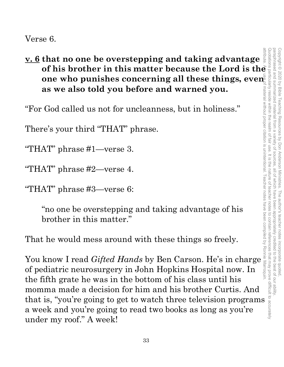**v. 6 that no one be overstepping and taking advantage one who punishes concerning all these things, even as we also told you before and warned you.**

"For God called us not for uncleanness, but in holiness."

There's your third "THAT" phrase.

"THAT" phrase #1—verse 3.

"THAT" phrase #2—verse 4.

"THAT" phrase #3—verse 6:

"no one be overstepping and taking advantage of his brother in this matter."

That he would mess around with these things so freely.

**of his brother in this matter because the Lord is the analytical one who punishes concerning all these things, even<br>as we also told you before and warned you.<br>
God called us not for uncleanness, but in holiness."<br>
Fe's yo** as we also told you before and warned you.<br>
"For God called us not for uncleanness, but in holiness."<br>
There's your third "THAT" phrase.<br>
"THAT" phrase #1—verse 3.<br>
"THAT" phrase #2—verse 4.<br>
"THAT" phrase #3—verse 6:<br>
"no of pediatric neurosurgery in John Hopkins Hospital now. In the fifth grate he was in the bottom of his class until his momma made a decision for him and his brother Curtis. And that is, "you're going to get to watch three television programs a week and you're going to read two books as long as you're under my roof." A week!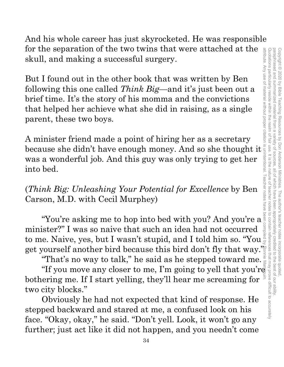Quotations particularly reside within the realm of fair use. It is the nature of teacher notes paraphrased and summarized material from attribute. Any use of material without proper citation is unintentional. Teacher notes have been compiled by Ronnie Marroquin.Quotations particularly reside within the realm of fair use. It is the nature of teacher notes to contain references that may prove difficult to accurately paraphrased and summarized material from a variety of sources, all of which have been appropriately credited to the best of our ability. Copyright © 2020 by Bible Teaching Resources Copyright © 2020 by Bible Teaching Resources by Don Anderson Ministries. The author's teacher notes incorporate quoted,  $\overline{\omega}$ by Don Anderson Ministries sources all of which have been . The author's teacher notes incorporate quoted appropriately credited to the best of our ability.

And his whole career has just skyrocketed. He was responsible for the separation of the two twins that were attached at the skull, and making a successful surgery.

But I found out in the other book that was written by Ben following this one called *Think Big*—and it's just been out a brief time. It's the story of his momma and the convictions that helped her achieve what she did in raising, as a single parent, these two boys. for the separation of the two twins that were attached at the skull, and making a successful surgery.<br>But I found out in the other book that was written by Ben<br>following this one called *Think Big*—and it's just been out

A minister friend made a point of hiring her as a secretary was a wonderful job. And this guy was only trying to get her into bed.

(*Think Big: Unleashing Your Potential for Excellence* by Ben Carson, M.D. with Cecil Murphey)

 $nk$  Big: Unleashing Your Potential for Excellence by Benefision, M.D. with Cecil Murphey)<br>
"You're asking me to hop into bed with you? And you're a minister?" I was so naive that such an idea had not occurred to me. Naive, yes, but I wasn't stupid, and I told him so. "You get yourself another bird because this bird don't fly that way." "You're asking me to hop into bed with you? And you're a ster?" I was so naive that such an idea had not occurred  $e^{3}$ .<br>
ister?" I was so naive that such an idea had not occurred  $e^{3}$ .<br>
i.e. Naive, yes, but I wasn't s

"That's no way to talk," he said as he stepped toward me.

bothering me. If I start yelling, they'll hear me screaming for two city blocks."

Obviously he had not expected that kind of response. He stepped backward and stared at me, a confused look on his face. "Okay, okay," he said. "Don't yell. Look, it won't go any further; just act like it did not happen, and you needn't come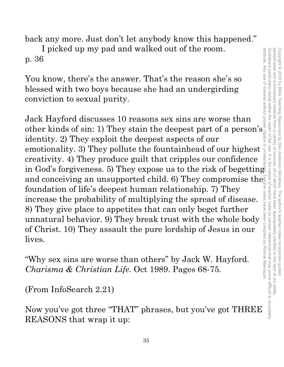back any more. Just don't let anybody know this happened."

I picked up my pad and walked out of the room. p. 36

You know, there's the answer. That's the reason she's so blessed with two boys because she had an undergirding conviction to sexual purity.

Jack Hayford discusses 10 reasons sex sins are worse than other kinds of sin: 1) They stain the deepest part of a person's identity. 2) They exploit the deepest aspects of our emotionality. 3) They pollute the fountainhead of our highest creativity. 4) They produce guilt that cripples our confidence in God's forgiveness. 5) They expose us to the risk of begetting and conceiving an unsupported child. 6) They compromise the foundation of life's deepest human relationship. 7) They<br>increase the probability of multiplying the spread of disease.<br>8) They give place to appetites that can foundation of life's deepest human relationship. 7) They increase the probability of multiplying the spread of disease. 8) They give place to appetites that can only beget further unnatural behavior. 9) They break trust with the whole body of Christ. 10) They assault the pure lordship of Jesus in our lives.

"Why sex sins are worse than others" by Jack W. Hayford. *Charisma & Christian Life*. Oct 1989. Pages 68-75.

(From InfoSearch 2.21)

Now you've got three "THAT" phrases, but you've got THREE REASONS that wrap it up: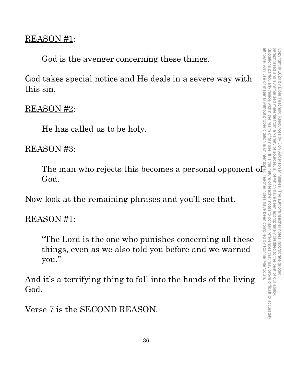## REASON #1:

God is the avenger concerning these things.

God takes special notice and He deals in a severe way with this sin.

# REASON #2:

He has called us to be holy.

### REASON #3:

The man who rejects this becomes a personal opponent of God.

Now look at the remaining phrases and you'll see that.

# REASON #1:

"The Lord is the one who punishes concerning all these things, even as we also told you before and we warned you."

And it's a terrifying thing to fall into the hands of the living God.

Verse 7 is the SECOND REASON.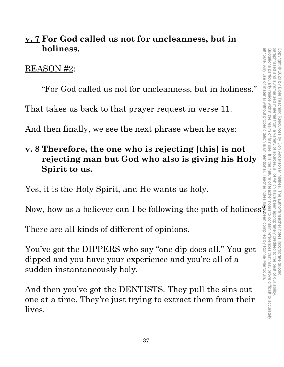# **v. 7 For God called us not for uncleanness, but in holiness.**

### REASON #2:

"For God called us not for uncleanness, but in holiness."

That takes us back to that prayer request in verse 11.

And then finally, we see the next phrase when he says:

# **v. 8 Therefore, the one who is rejecting [this] is not rejecting man but God who also is giving his Holy Spirit to us.**

Yes, it is the Holy Spirit, and He wants us holy.

Now, how as a believer can I be following the path of holiness?

There are all kinds of different of opinions.

You've got the DIPPERS who say "one dip does all." You get dipped and you have your experience and you're all of a sudden instantaneously holy.

And then you've got the DENTISTS. They pull the sins out one at a time. They're just trying to extract them from their lives.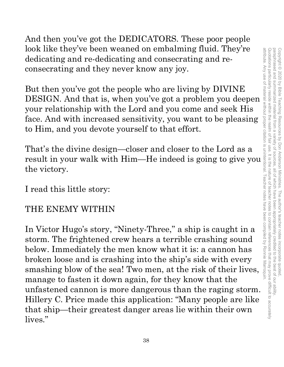And then you've got the DEDICATORS. These poor people look like they've been weaned on embalming fluid. They're dedicating and re-dedicating and consecrating and reconsecrating and they never know any joy.

But then you've got the people who are living by DIVINE your relationship with the Lord and you come and seek His face. And with increased sensitivity, you want to be pleasing to Him, and you devote yourself to that effort.

That's the divine design—closer and closer to the Lord as a result in your walk with Him—He indeed is going to give you the victory.

I read this little story:

# THE ENEMY WITHIN

From the that is dedicating and consecrating and consecrating and the dedicating and re-<br>
consecrating and de-dedicating and consecrating and re-<br>
DESIGN. And that is, when you've got a problem you deepen<br>
your relationshi In Victor Hugo's story, "Ninety-Three," a ship is caught in a storm. The frightened crew hears a terrible crashing sound below. Immediately the men know what it is: a cannon has broken loose and is crashing into the ship's side with every smashing blow of the sea! Two men, at the risk of their lives, manage to fasten it down again, for they know that the unfastened cannon is more dangerous than the raging storm. Hillery C. Price made this application: "Many people are like that ship—their greatest danger areas lie within their own lives."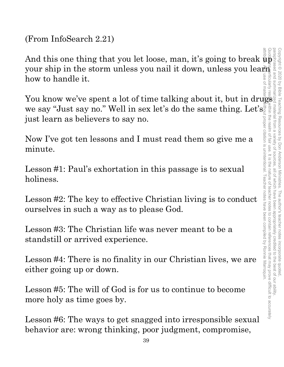(From InfoSearch 2.21)

And this one thing that you let loose, man, it's going to break up<br>your ship in the storm unless you nail it down, unless you learly<br>how to handle it.<br>You know we've spent a lot of time talking about it, but in drugs your ship in the storm unless you nail it down, unless you learly how to handle it. attribute. Any use of material without proper citation is unintentional. Teacher notes have been compiled by Ronnie Marroquin.

You know we've spent a lot of time talking about it, but in drugs we say "Just say no." Well in sex let's do the same thing. Let's just learn as believers to say no. proper citation is unintentional. Teacher notes have been compiled by Ronnie Marroquin

Now I've got ten lessons and I must read them so give me a minute.

Lesson #1: Paul's exhortation in this passage is to sexual holiness.

Lesson #2: The key to effective Christian living is to conduct ourselves in such a way as to please God.

Lesson #3: The Christian life was never meant to be a standstill or arrived experience.

Lesson #4: There is no finality in our Christian lives, we are either going up or down.

Lesson #5: The will of God is for us to continue to become more holy as time goes by.

Lesson #6: The ways to get snagged into irresponsible sexual behavior are: wrong thinking, poor judgment, compromise,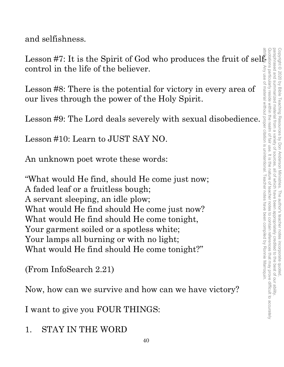and selfishness.

control in the life of the believer.

Lesson #8: There is the potential for victory in every area of our lives through the power of the Holy Spirit.

Lesson #9: The Lord deals severely with sexual disobedience.

Lesson #10: Learn to JUST SAY NO.

An unknown poet wrote these words:

Lesson #7: It is the Spirit of God who produces the fruit of self-<br>control in the life of the believer.<br>Lesson #8: There is the potential for victory in every area of<br>our lives through the power of the Holy Spirit.<br>Lesson "What would He find, should He come just now; A faded leaf or a fruitless bough; A servant sleeping, an idle plow; What would He find should He come just now? What would He find should He come tonight, Your garment soiled or a spotless white; Your lamps all burning or with no light; What would He find should He come tonight?"

(From InfoSearch 2.21)

Now, how can we survive and how can we have victory?

I want to give you FOUR THINGS:

1. STAY IN THE WORD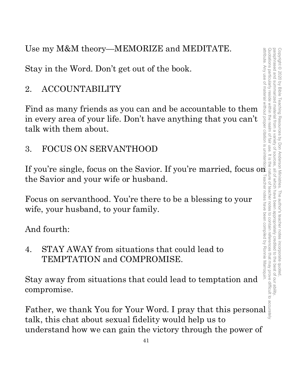Use my M&M theory—MEMORIZE and MEDITATE.

Stay in the Word. Don't get out of the book.

# 2. ACCOUNTABILITY

Find as many friends as you can and be accountable to them in every area of your life. Don't have anything that you can't talk with them about.

# 3. FOCUS ON SERVANTHOOD

If you're single, focus on the Savior. If you're married, focus on the Savior and your wife or husband. For you're single, focus on the Savior. If you're married, focus on the Savior and your wife or husband.<br>
Focus on servanthood. You're there to be a blessing to your straight wife, your husband, to your family.<br>
And fourt

Focus on servanthood. You're there to be a blessing to your wife, your husband, to your family.

And fourth:

4. STAY AWAY from situations that could lead to TEMPTATION and COMPROMISE.

Stay away from situations that could lead to temptation and compromise.

talk, this chat about sexual fidelity would help us to understand how we can gain the victory through the power of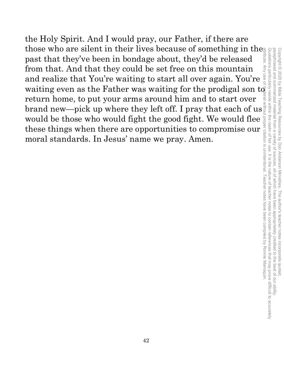the Holy Spirit. And I would pray, our Father, if there are those who are silent in their lives because of something in the past that they've been in bondage about, they'd be released from that. And that they could be set free on this mountain and realize that You're waiting to start all over again. You're waiting even as the Father was waiting for the prodigal son to return home, to put your arms around him and to start over brand new—pick up where they left off. I pray that each of us $\frac{1}{2}$ would be those who would fight the good fight. We would flee these things when there are opportunities to compromise our moral standards. In Jesus' name we pray. Amen. attribute. Any use of material without proper citation is unintentional. Teacher notes have been compiled by Ronnie Marroquin.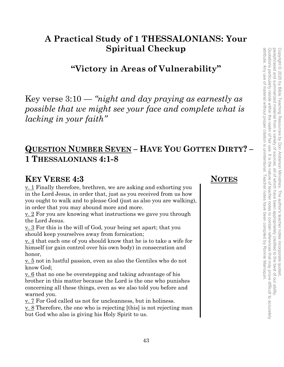attribute. Any use of material without proper citation is unintentional. Teacher notes have been compiled by Ronnie Marroquin. attribute. Any use of material without proper citation is unintentional. Teacher notes have been compiled by Ronnie Marroquin.

# **A Practical Study of 1 THESSALONIANS: Your Spiritual Checkup**

**"Victory in Areas of Vulnerability"** 

Key verse 3:10 — *"night and day praying as earnestly as possible that we might see your face and complete what is lacking in your faith"* 

# **QUESTION NUMBER SEVEN – HAVE YOU GOTTEN DIRTY? – 1 THESSALONIANS 4:1-8**

### **KEY VERSE 4:3** NOTES

v. 1 Finally therefore, brethren, we are asking and exhorting you in the Lord Jesus, in order that, just as you received from us how you ought to walk and to please God (just as also you are walking), in order that you may abound more and more.

v. 2 For you are knowing what instructions we gave you through the Lord Jesus.

v. 3 For this is the will of God, your being set apart; that you should keep yourselves away from fornication;

v. 4 that each one of you should know that he is to take a wife for himself (or gain control over his own body) in consecration and honor,

v. 5 not in lustful passion, even as also the Gentiles who do not know God;

v. 6 that no one be overstepping and taking advantage of his brother in this matter because the Lord is the one who punishes concerning all these things, even as we also told you before and warned you.

v. 7 For God called us not for uncleanness, but in holiness.

v. 8 Therefore, the one who is rejecting [this] is not rejecting man but God who also is giving his Holy Spirit to us.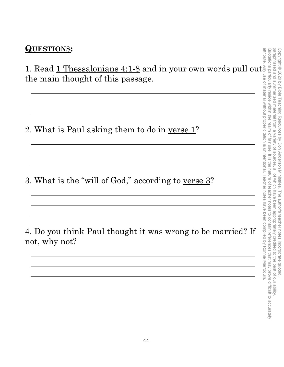### **QUESTIONS:**

1. Read 1 Thessalonians 4:1-8 and in your own words pull out the main thought of this passage.

<u> 1989 - Johann Stoff, deutscher Stoffen und der Stoffen und der Stoffen und der Stoffen und der Stoffen und der</u>

<u> 1989 - Johann Stoff, deutscher Stoffen und der Stoffen und der Stoffen und der Stoffen und der Stoffen und de</u>

2. What is Paul asking them to do in verse 1?

3. What is the "will of God," according to verse 3?

4. Do you think Paul thought it was wrong to be married? If not, why not?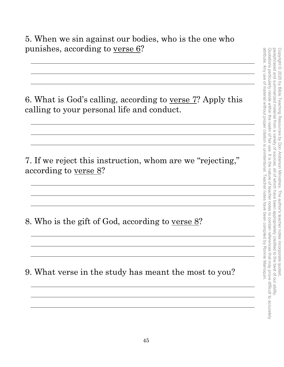5. When we sin against our bodies, who is the one who punishes, according to verse 6?

6. What is God's calling, according to verse 7? Apply this calling to your personal life and conduct.

7. If we reject this instruction, whom are we "rejecting," according to verse 8?

8. Who is the gift of God, according to verse 8?

9. What verse in the study has meant the most to you?

<u> 1980 - Johann Stoff, deutscher Stoffen und der Stoffen und der Stoffen und der Stoffen und der Stoffen und de</u>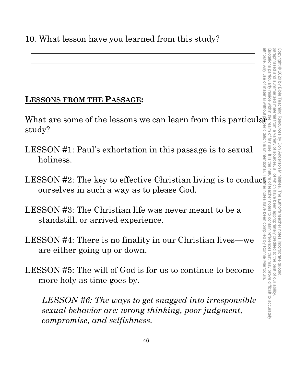# **LESSONS FROM THE PASSAGE:**

What are some of the lessons we can learn from this particular study?

- LESSON #1: Paul's exhortation in this passage is to sexual holiness.
- ourselves in such a way as to please God.
- LESSON #3: The Christian life was never meant to be a standstill, or arrived experience.
- LESSON #4: There is no finality in our Christian lives—we are either going up or down.
- LESSON #5: The will of God is for us to continue to become more holy as time goes by.

LESSONS FROM THE PASSAGE:<br>
What are some of the lessons we can learn from this particularly?<br>
LESSON #1: Paul's exhortation in this passage is to sexual<br>
holiness.<br>
LESSON #2: The key to effective Christian living is to co *LESSON #6: The ways to get snagged into irresponsible sexual behavior are: wrong thinking, poor judgment, compromise, and selfishness.*